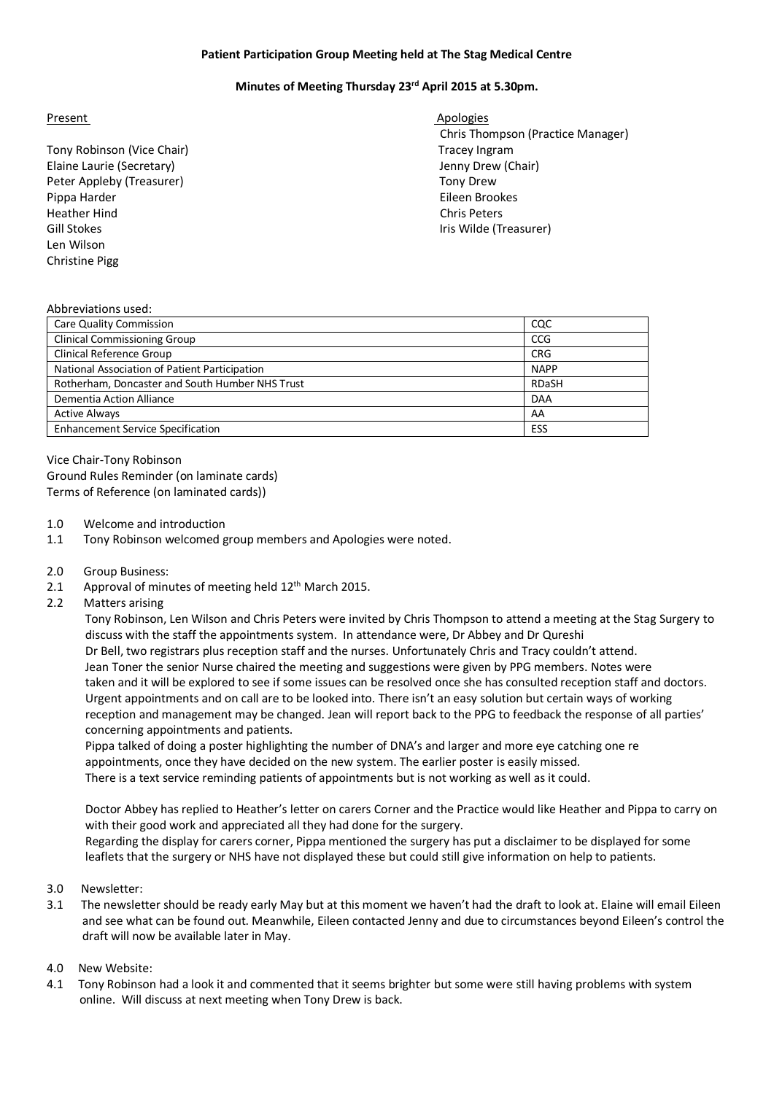### **Patient Participation Group Meeting held at The Stag Medical Centre**

# **Minutes of Meeting Thursday 23rd April 2015 at 5.30pm.**

#### Present Apologies Apologies

- Tony Robinson (Vice Chair) Tracey Ingram Elaine Laurie (Secretary) Jenny Drew (Chair) Peter Appleby (Treasurer) Tony Drew Pippa Harder Eileen Brookes Heather Hind Chris Peters Gill Stokes **International Community** Community Community Community Community Community Community Community Community Community Community Community Community Community Community Community Community Community Community Comm Len Wilson Christine Pigg
- Chris Thompson (Practice Manager)

#### Abbreviations used:

| Care Quality Commission                         | CQC          |
|-------------------------------------------------|--------------|
| <b>Clinical Commissioning Group</b>             | CCG          |
| <b>Clinical Reference Group</b>                 | <b>CRG</b>   |
| National Association of Patient Participation   | <b>NAPP</b>  |
| Rotherham, Doncaster and South Humber NHS Trust | <b>RDaSH</b> |
| Dementia Action Alliance                        | <b>DAA</b>   |
| <b>Active Always</b>                            | AA           |
| <b>Enhancement Service Specification</b>        | ESS          |

Vice Chair-Tony Robinson Ground Rules Reminder (on laminate cards) Terms of Reference (on laminated cards))

- 1.0 Welcome and introduction
- 1.1 Tony Robinson welcomed group members and Apologies were noted.
- 2.0 Group Business:
- 2.1 Approval of minutes of meeting held  $12<sup>th</sup>$  March 2015.
- 2.2 Matters arising

 Tony Robinson, Len Wilson and Chris Peters were invited by Chris Thompson to attend a meeting at the Stag Surgery to discuss with the staff the appointments system. In attendance were, Dr Abbey and Dr Qureshi Dr Bell, two registrars plus reception staff and the nurses. Unfortunately Chris and Tracy couldn't attend. Jean Toner the senior Nurse chaired the meeting and suggestions were given by PPG members. Notes were taken and it will be explored to see if some issues can be resolved once she has consulted reception staff and doctors. Urgent appointments and on call are to be looked into. There isn't an easy solution but certain ways of working reception and management may be changed. Jean will report back to the PPG to feedback the response of all parties' concerning appointments and patients.

 Pippa talked of doing a poster highlighting the number of DNA's and larger and more eye catching one re appointments, once they have decided on the new system. The earlier poster is easily missed. There is a text service reminding patients of appointments but is not working as well as it could.

 Doctor Abbey has replied to Heather's letter on carers Corner and the Practice would like Heather and Pippa to carry on with their good work and appreciated all they had done for the surgery. Regarding the display for carers corner, Pippa mentioned the surgery has put a disclaimer to be displayed for some leaflets that the surgery or NHS have not displayed these but could still give information on help to patients.

- 3.0 Newsletter:
- 3.1 The newsletter should be ready early May but at this moment we haven't had the draft to look at. Elaine will email Eileen and see what can be found out. Meanwhile, Eileen contacted Jenny and due to circumstances beyond Eileen's control the draft will now be available later in May.

## 4.0 New Website:

4.1 Tony Robinson had a look it and commented that it seems brighter but some were still having problems with system online. Will discuss at next meeting when Tony Drew is back.